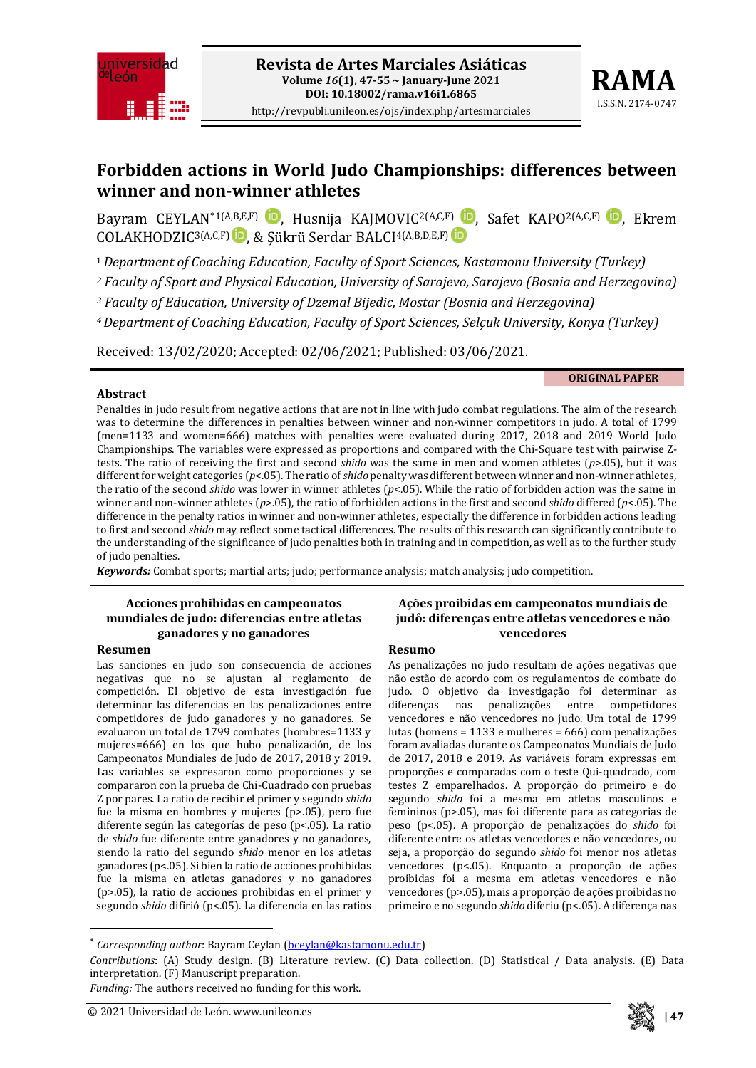



**Forbidden actions in World Judo Championships: differences between winner and non-winner athletes**

Bavram CEYLAN[\\*1](#page-0-0)(A[,](https://orcid.org/0000-0003-2170-769X)B,E,F) **D**, Husnija KAJMOVIC<sup>2(A,C,F)</sup> D, Safet KAPO<sup>2(A,C,F)</sup> D, Ekrem COLAKHODZIC<sup>3(A,C,F)</sup> D, & Sükrü Serdar BALCI<sup>4(A,B,D,E,F)</sub> D</sup>

<sup>1</sup>*Department of Coaching Education, Faculty of Sport Sciences, Kastamonu University (Turkey)*

*<sup>2</sup> Faculty of Sport and Physical Education, University of Sarajevo, Sarajevo (Bosnia and Herzegovina)*

*<sup>3</sup> Faculty of Education, University of Dzemal Bijedic, Mostar (Bosnia and Herzegovina)*

*4Department of Coaching Education, Faculty of Sport Sciences, Selçuk University, Konya (Turkey)*

Received: 13/02/2020; Accepted: 02/06/2021; Published: 03/06/2021.

#### **ORIGINAL PAPER**

#### **Abstract**

Penalties in judo result from negative actions that are not in line with judo combat regulations. The aim of the research was to determine the differences in penalties between winner and non-winner competitors in judo. A total of 1799 (men=1133 and women=666) matches with penalties were evaluated during 2017, 2018 and 2019 World Judo Championships. The variables were expressed as proportions and compared with the Chi-Square test with pairwise Ztests. The ratio of receiving the first and second *shido* was the same in men and women athletes (*p*>.05), but it was different for weight categories ( $p$ <.05). The ratio of *shido* penalty was different between winner and non-winner athletes, the ratio of the second *shido* was lower in winner athletes (*p*<.05). While the ratio of forbidden action was the same in winner and non-winner athletes (*p*>.05), the ratio of forbidden actions in the first and second *shido* differed (*p*<.05). The difference in the penalty ratios in winner and non-winner athletes, especially the difference in forbidden actions leading to first and second *shido* may reflect some tactical differences. The results of this research can significantly contribute to the understanding of the significance of judo penalties both in training and in competition, as well as to the further study of judo penalties.

*Keywords:* Combat sports; martial arts; judo; performance analysis; match analysis; judo competition.

#### **Acciones prohibidas en campeonatos mundiales de judo: diferencias entre atletas ganadores y no ganadores**

#### **Resumen**

Las sanciones en judo son consecuencia de acciones negativas que no se ajustan al reglamento de competición. El objetivo de esta investigación fue determinar las diferencias en las penalizaciones entre competidores de judo ganadores y no ganadores. Se evaluaron un total de 1799 combates (hombres=1133 y mujeres=666) en los que hubo penalización, de los Campeonatos Mundiales de Judo de 2017, 2018 y 2019. Las variables se expresaron como proporciones y se compararon con la prueba de Chi-Cuadrado con pruebas Z por pares. La ratio de recibir el primer y segundo *shido* fue la misma en hombres y mujeres (p>.05), pero fue diferente según las categorías de peso (p<.05). La ratio de *shido* fue diferente entre ganadores y no ganadores, siendo la ratio del segundo *shido* menor en los atletas ganadores (p<.05). Si bien la ratio de acciones prohibidas fue la misma en atletas ganadores y no ganadores (p>.05), la ratio de acciones prohibidas en el primer y segundo *shido* difirió (p<.05). La diferencia en las ratios

#### **Ações proibidas em campeonatos mundiais de judô: diferenças entre atletas vencedores e não vencedores**

#### **Resumo**

As penalizações no judo resultam de ações negativas que não estão de acordo com os regulamentos de combate do judo. O objetivo da investigação foi determinar as penalizações vencedores e não vencedores no judo. Um total de 1799 lutas (homens = 1133 e mulheres = 666) com penalizações foram avaliadas durante os Campeonatos Mundiais de Judo de 2017, 2018 e 2019. As variáveis foram expressas em proporções e comparadas com o teste Qui-quadrado, com testes Z emparelhados. A proporção do primeiro e do segundo *shido* foi a mesma em atletas masculinos e femininos (p>.05), mas foi diferente para as categorias de peso (p<.05). A proporção de penalizações do *shido* foi diferente entre os atletas vencedores e não vencedores, ou seja, a proporção do segundo *shido* foi menor nos atletas vencedores (p<.05). Enquanto a proporção de ações proibidas foi a mesma em atletas vencedores e não vencedores (p>.05), mais a proporção de ações proibidas no primeiro e no segundo *shido* diferiu (p<.05). A diferença nas



 <sup>\*</sup> *Corresponding author*: Bayram Ceylan [\(bceylan@kastamonu.edu.tr\)](mailto:bceylan@kastamonu.edu.tr)

<span id="page-0-0"></span>*Contributions*: (A) Study design. (B) Literature review. (C) Data collection. (D) Statistical / Data analysis. (E) Data interpretation. (F) Manuscript preparation.

*Funding:* The authors received no funding for this work.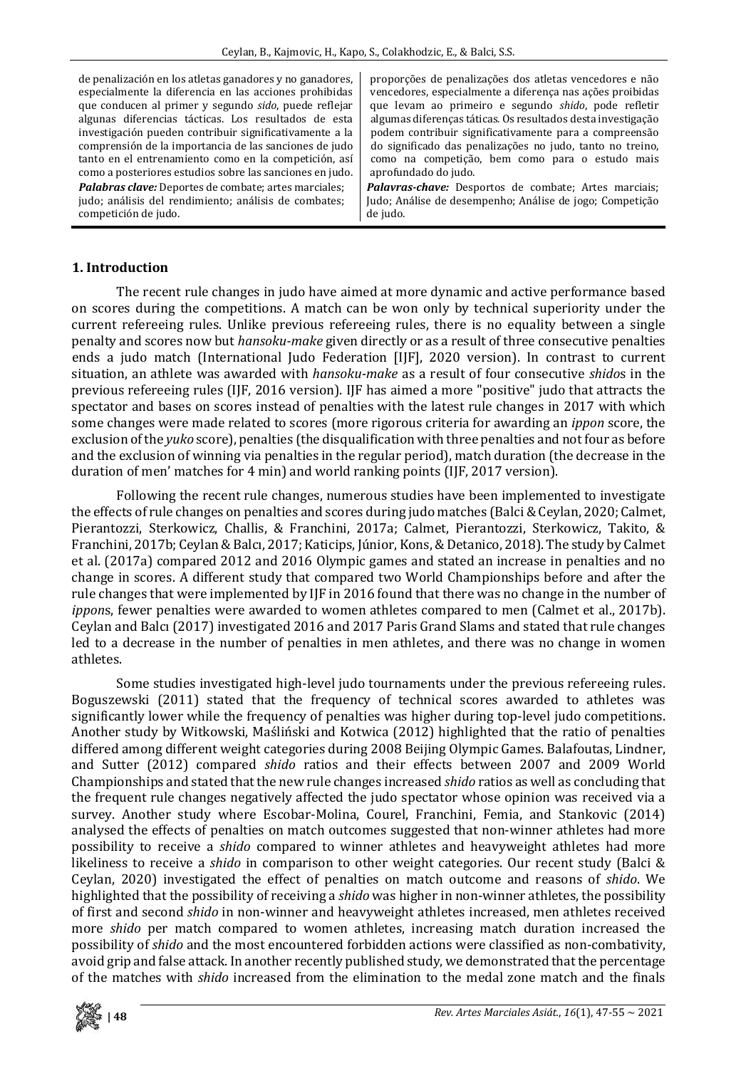de penalización en los atletas ganadores y no ganadores, especialmente la diferencia en las acciones prohibidas que conducen al primer y segundo *sido*, puede reflejar algunas diferencias tácticas. Los resultados de esta investigación pueden contribuir significativamente a la comprensión de la importancia de las sanciones de judo tanto en el entrenamiento como en la competición, así como a posteriores estudios sobre las sanciones en judo. *Palabras clave:* Deportes de combate; artes marciales; judo; análisis del rendimiento; análisis de combates; competición de judo.

proporções de penalizações dos atletas vencedores e não vencedores, especialmente a diferença nas ações proibidas que levam ao primeiro e segundo *shido*, pode refletir algumas diferenças táticas. Os resultados desta investigação podem contribuir significativamente para a compreensão do significado das penalizações no judo, tanto no treino, como na competição, bem como para o estudo mais aprofundado do judo.

*Palavras-chave:* Desportos de combate; Artes marciais; Judo; Análise de desempenho; Análise de jogo; Competição de judo.

### **1. Introduction**

The recent rule changes in judo have aimed at more dynamic and active performance based on scores during the competitions. A match can be won only by technical superiority under the current refereeing rules. Unlike previous refereeing rules, there is no equality between a single penalty and scores now but *hansoku-make* given directly or as a result of three consecutive penalties ends a judo match (International Judo Federation [IJF], 2020 version). In contrast to current situation, an athlete was awarded with *hansoku-make* as a result of four consecutive *shido*s in the previous refereeing rules (IJF, 2016 version). IJF has aimed a more "positive" judo that attracts the spectator and bases on scores instead of penalties with the latest rule changes in 2017 with which some changes were made related to scores (more rigorous criteria for awarding an *ippon* score, the exclusion ofthe *yuko* score), penalties (the disqualification with three penalties and notfour as before and the exclusion of winning via penalties in the regular period), match duration (the decrease in the duration of men' matches for 4 min) and world ranking points (IJF, 2017 version).

Following the recent rule changes, numerous studies have been implemented to investigate the effects of rule changes on penalties and scores during judo matches (Balci &Ceylan, 2020; Calmet, Pierantozzi, Sterkowicz, Challis, & Franchini, 2017a; Calmet, Pierantozzi, Sterkowicz, Takito, & Franchini, 2017b; Ceylan&Balcı, 2017; Katicips, Júnior, Kons,&Detanico, 2018). The study by Calmet et al. (2017a) compared 2012 and 2016 Olympic games and stated an increase in penalties and no change in scores. A different study that compared two World Championships before and after the rule changes that were implemented by IJF in 2016 found that there was no change in the number of *ippon*s, fewer penalties were awarded to women athletes compared to men (Calmet et al., 2017b). Ceylan and Balcı (2017) investigated 2016 and 2017 Paris Grand Slams and stated that rule changes led to a decrease in the number of penalties in men athletes, and there was no change in women athletes.

Some studies investigated high-level judo tournaments under the previous refereeing rules. Boguszewski (2011) stated that the frequency of technical scores awarded to athletes was significantly lower while the frequency of penalties was higher during top-level judo competitions. Another study by Witkowski, Maśliński and Kotwica (2012) highlighted that the ratio of penalties differed among different weight categories during 2008 Beijing Olympic Games. Balafoutas, Lindner, and Sutter (2012) compared *shido* ratios and their effects between 2007 and 2009 World Championships and stated that the new rule changes increased *shido* ratios as well as concluding that the frequent rule changes negatively affected the judo spectator whose opinion was received via a survey. Another study where Escobar-Molina, Courel, Franchini, Femia, and Stankovic (2014) analysed the effects of penalties on match outcomes suggested that non-winner athletes had more possibility to receive a *shido* compared to winner athletes and heavyweight athletes had more likeliness to receive a *shido* in comparison to other weight categories. Our recent study (Balci & Ceylan, 2020) investigated the effect of penalties on match outcome and reasons of *shido*. We highlighted that the possibility of receiving a *shido* was higher in non-winner athletes, the possibility of first and second *shido* in non-winner and heavyweight athletes increased, men athletes received more *shido* per match compared to women athletes, increasing match duration increased the possibility of *shido* and the most encountered forbidden actions were classified as non-combativity, avoid grip and false attack. In another recently published study, we demonstrated that the percentage of the matches with *shido* increased from the elimination to the medal zone match and the finals

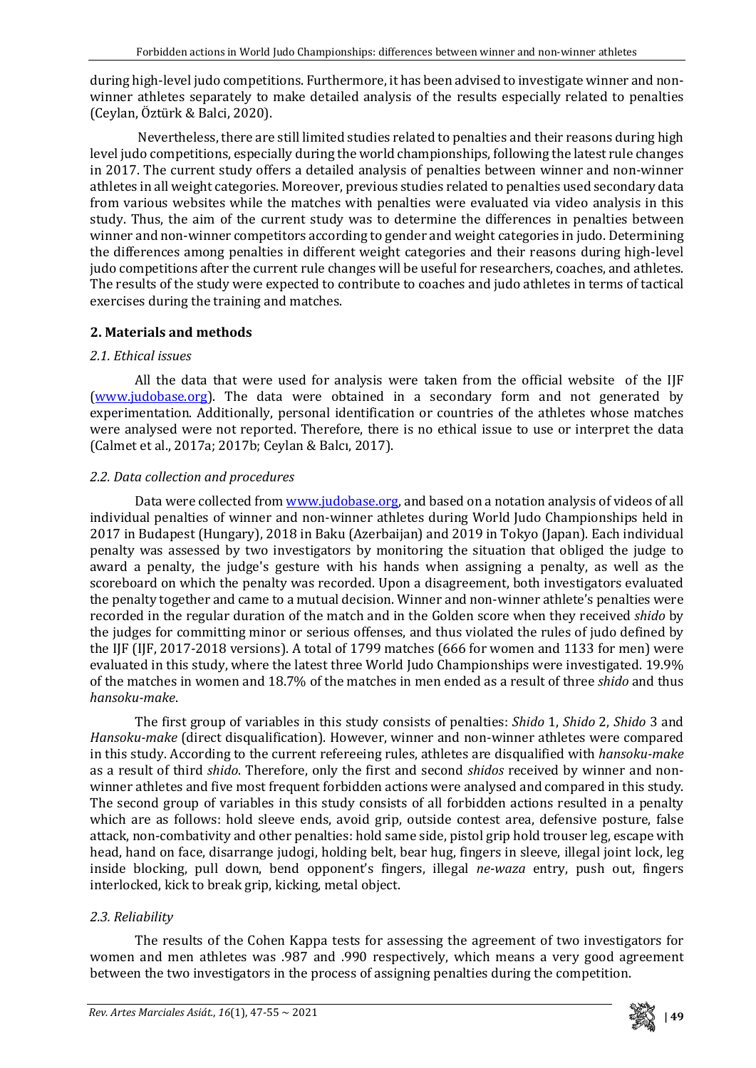during high-level judo competitions. Furthermore, it has been advised to investigate winner and nonwinner athletes separately to make detailed analysis of the results especially related to penalties (Ceylan, Öztürk & Balci, 2020).

Nevertheless, there are still limited studies related to penalties and their reasons during high level judo competitions, especially during the world championships, following the latest rule changes in 2017. The current study offers a detailed analysis of penalties between winner and non-winner athletes in all weight categories. Moreover, previous studies related to penalties used secondary data from various websites while the matches with penalties were evaluated via video analysis in this study. Thus, the aim of the current study was to determine the differences in penalties between winner and non-winner competitors according to gender and weight categories in judo. Determining the differences among penalties in different weight categories and their reasons during high-level judo competitions after the current rule changes will be useful for researchers, coaches, and athletes. The results of the study were expected to contribute to coaches and judo athletes in terms of tactical exercises during the training and matches.

# **2. Materials and methods**

## *2.1. Ethical issues*

All the data that were used for analysis were taken from the official website of the IJF [\(www.judobase.org\)](http://www.judobase.org/). The data were obtained in a secondary form and not generated by experimentation. Additionally, personal identification or countries of the athletes whose matches were analysed were not reported. Therefore, there is no ethical issue to use or interpret the data (Calmet et al., 2017a; 2017b; Ceylan & Balcı, 2017).

# *2.2. Data collection and procedures*

Data were collected from [www.judobase.org,](http://www.judobase.org/) and based on a notation analysis of videos of all individual penalties of winner and non-winner athletes during World Judo Championships held in 2017 in Budapest (Hungary), 2018 in Baku (Azerbaijan) and 2019 in Tokyo (Japan). Each individual penalty was assessed by two investigators by monitoring the situation that obliged the judge to award a penalty, the judge's gesture with his hands when assigning a penalty, as well as the scoreboard on which the penalty was recorded. Upon a disagreement, both investigators evaluated the penalty together and came to a mutual decision. Winner and non-winner athlete's penalties were recorded in the regular duration of the match and in the Golden score when they received *shido* by the judges for committing minor or serious offenses, and thus violated the rules of judo defined by the IJF (IJF, 2017-2018 versions). A total of 1799 matches (666 for women and 1133 for men) were evaluated in this study, where the latest three World Judo Championships were investigated. 19.9% of the matches in women and 18.7% of the matches in men ended as a result of three *shido* and thus *hansoku-make*.

The first group of variables in this study consists of penalties: *Shido* 1, *Shido* 2, *Shido* 3 and *Hansoku-make* (direct disqualification). However, winner and non-winner athletes were compared in this study. According to the current refereeing rules, athletes are disqualified with *hansoku-make* as a result of third *shido*. Therefore, only the first and second *shidos* received by winner and nonwinner athletes and five most frequent forbidden actions were analysed and compared in this study. The second group of variables in this study consists of all forbidden actions resulted in a penalty which are as follows: hold sleeve ends, avoid grip, outside contest area, defensive posture, false attack, non-combativity and other penalties: hold same side, pistol grip hold trouser leg, escape with head, hand on face, disarrange judogi, holding belt, bear hug, fingers in sleeve, illegal joint lock, leg inside blocking, pull down, bend opponent's fingers, illegal *ne-waza* entry, push out, fingers interlocked, kick to break grip, kicking, metal object.

# *2.3. Reliability*

The results of the Cohen Kappa tests for assessing the agreement of two investigators for women and men athletes was .987 and .990 respectively, which means a very good agreement between the two investigators in the process of assigning penalties during the competition.

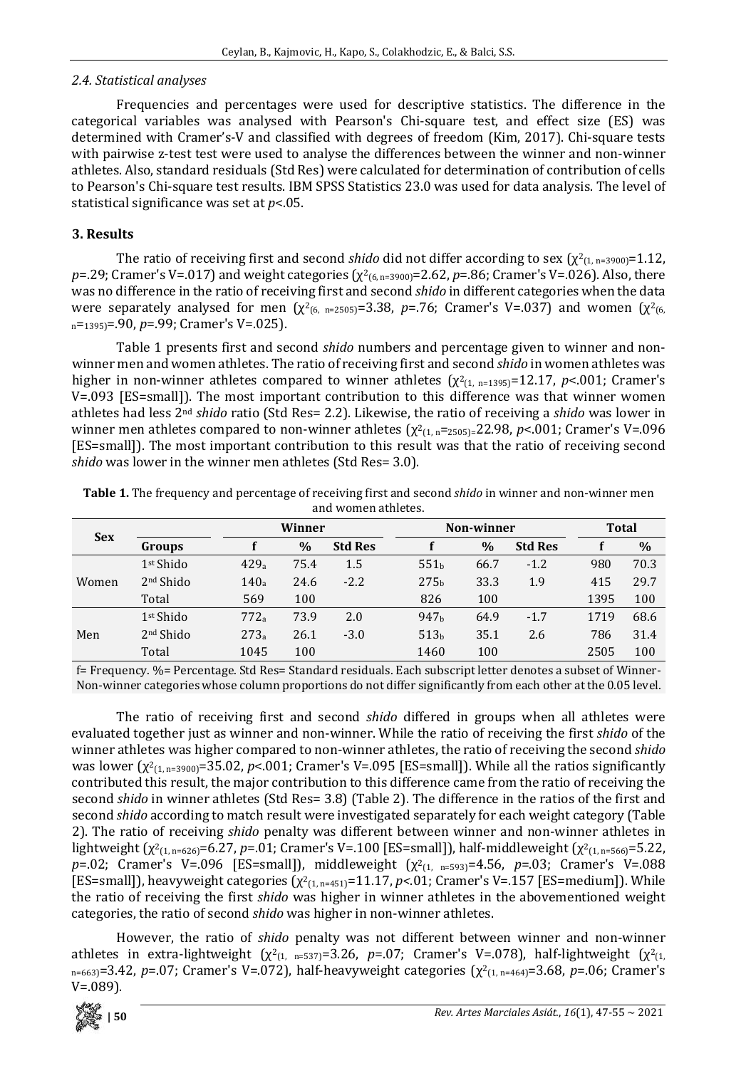## *2.4. Statistical analyses*

Frequencies and percentages were used for descriptive statistics. The difference in the categorical variables was analysed with Pearson's Chi-square test, and effect size (ES) was determined with Cramer's-V and classified with degrees of freedom (Kim, 2017). Chi-square tests with pairwise z-test test were used to analyse the differences between the winner and non-winner athletes. Also, standard residuals (Std Res) were calculated for determination of contribution of cells to Pearson's Chi-square test results. IBM SPSS Statistics 23.0 was used for data analysis. The level of statistical significance was set at *p*<.05.

## **3. Results**

The ratio of receiving first and second *shido* did not differ according to sex  $(\chi^2(1, n=3900) = 1.12)$ , *p*=.29; Cramer's V=.017) and weight categories ( $χ²$ <sub>(6, n=3900)</sub>=2.62, *p*=.86; Cramer's V=.026). Also, there was no difference in the ratio of receiving first and second *shido* in different categories when the data were separately analysed for men  $(\chi^2_{(6, n=2505)}=3.38, p=.76$ ; Cramer's V=.037) and women  $(\chi^2_{(6, n=2505)})$ n=1395)=.90, *p*=.99; Cramer's V=.025).

Table 1 presents first and second *shido* numbers and percentage given to winner and nonwinner men and women athletes. The ratio of receiving first and second *shido* in women athletes was higher in non-winner athletes compared to winner athletes  $(\chi^2_{(1, n=1395)}=12.17, p<.001;$  Cramer's V=.093 [ES=small]). The most important contribution to this difference was that winner women athletes had less 2nd *shido* ratio (Std Res= 2.2). Likewise, the ratio of receiving a *shido* was lower in winner men athletes compared to non-winner athletes ( $\chi^2$ <sub>(1, n</sub>=<sub>2505)</sub>=22.98, *p*<.001; Cramer's V=.096 [ES=small]). The most important contribution to this result was that the ratio of receiving second *shido* was lower in the winner men athletes (Std Res= 3.0).

|            |                       |                  | Winner      |                | Non-winner       | <b>Total</b>  |                |      |      |
|------------|-----------------------|------------------|-------------|----------------|------------------|---------------|----------------|------|------|
| <b>Sex</b> | Groups                | $\frac{0}{0}$    |             | <b>Std Res</b> |                  | $\frac{0}{0}$ | <b>Std Res</b> |      | $\%$ |
| Women      | 1 <sup>st</sup> Shido | 429a             | 75.4<br>1.5 |                | 551 <sub>h</sub> | 66.7          | $-1.2$         |      | 70.3 |
|            | 2 <sup>nd</sup> Shido | 140 <sub>a</sub> | 24.6        | $-2.2$         | 275 <sub>b</sub> | 33.3          |                | 415  | 29.7 |
|            | Total                 | 569              | 100         |                | 826              | 100           |                | 1395 | 100  |
| Men        | 1 <sup>st</sup> Shido | 772a             | 73.9        | 2.0            | 947 <sub>b</sub> | 64.9          | $-1.7$         | 1719 | 68.6 |
|            | 2 <sup>nd</sup> Shido | 273a             | 26.1        | $-3.0$         | 513 <sub>b</sub> | 35.1          | 2.6            | 786  | 31.4 |
|            | Total                 | 1045             | 100         |                | 1460             | 100           |                | 2505 | 100  |

**Table 1.** The frequency and percentage of receiving first and second *shido* in winner and non-winner men and women athletes.

f= Frequency. %= Percentage. Std Res= Standard residuals. Each subscript letter denotes a subset of Winner-Non-winner categories whose column proportions do not differ significantly from each other at the 0.05 level.

The ratio of receiving first and second *shido* differed in groups when all athletes were evaluated together just as winner and non-winner. While the ratio of receiving the first *shido* of the winner athletes was higher compared to non-winner athletes, the ratio of receiving the second *shido* was lower (χ<sup>2</sup><sub>(1, n=3900)</sub>=35.02, *p*<.001; Cramer's V=.095 [ES=small]). While all the ratios significantly contributed this result, the major contribution to this difference came from the ratio of receiving the second *shido* in winner athletes (Std Res= 3.8) (Table 2). The difference in the ratios of the first and second *shido* according to match result were investigated separately for each weight category (Table 2). The ratio of receiving *shido* penalty was different between winner and non-winner athletes in lightweight (χ<sup>2</sup><sub>(1, n=626)</sub>=6.27, p=.01; Cramer's V=.100 [ES=small]), half-middleweight (χ<sup>2</sup><sub>(1, n=566)</sub>=5.22, *p*=.02; Cramer's V=.096 [ES=small]), middleweight (χ<sup>2</sup><sub>(1, n=593)</sub>=4.56, p=.03; Cramer's V=.088 [ES=small]), heavyweight categories (χ2(1, n=451)=11.17, *p<*.01; Cramer's V=.157 [ES=medium]). While the ratio of receiving the first *shido* was higher in winner athletes in the abovementioned weight categories, the ratio of second *shido* was higher in non-winner athletes.

However, the ratio of *shido* penalty was not different between winner and non-winner athletes in extra-lightweight  $(\chi^2(1, n=537))$ =3.26, *p*=.07; Cramer's V=.078), half-lightweight  $(\chi^2(1, n=537))$ n=663)=3.42, *p*=.07; Cramer's V=.072), half-heavyweight categories (χ<sup>2</sup><sub>(1, n=464)</sub>=3.68, *p*=.06; Cramer's  $V = .089$ ).

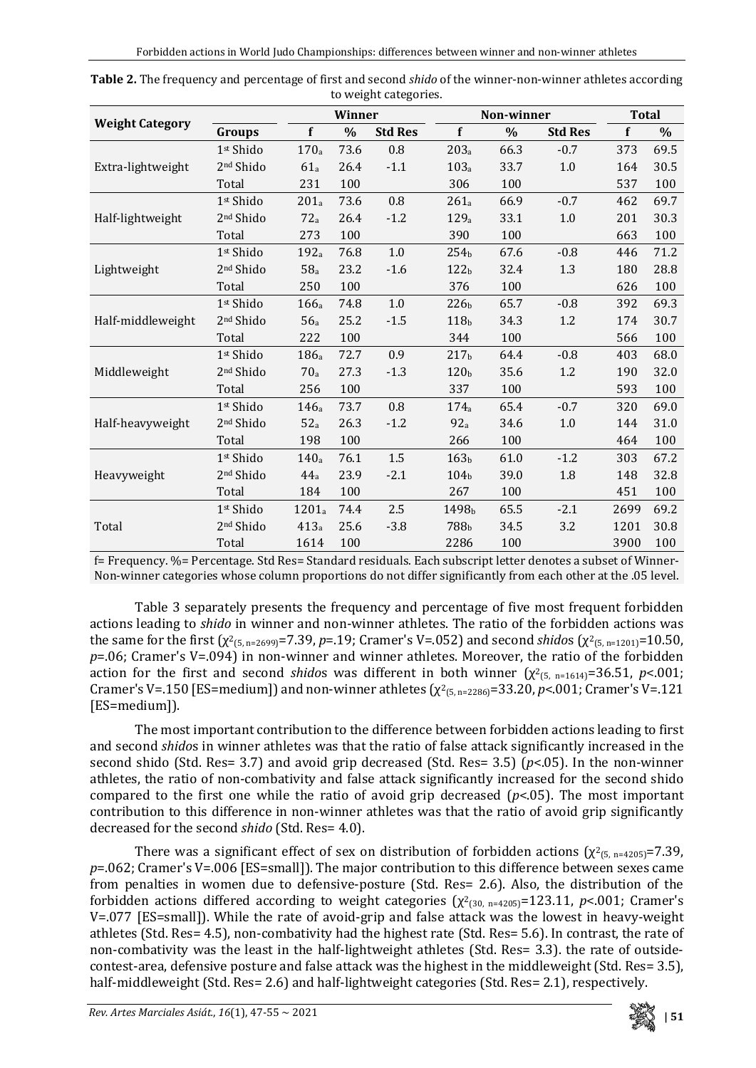|                        |                       |                   | Winner        |                |                   | Non-winner    | <b>Total</b>   |      |      |
|------------------------|-----------------------|-------------------|---------------|----------------|-------------------|---------------|----------------|------|------|
| <b>Weight Category</b> | Groups                | f                 | $\frac{0}{0}$ | <b>Std Res</b> | f                 | $\frac{0}{0}$ | <b>Std Res</b> | f    | $\%$ |
|                        | 1st Shido             | 170 <sub>a</sub>  | 73.6          | 0.8            | 203 <sub>a</sub>  | 66.3          | $-0.7$         | 373  | 69.5 |
| Extra-lightweight      | 2 <sup>nd</sup> Shido | 61a               | 26.4          | $-1.1$         | 103a              | 33.7          | 1.0            | 164  | 30.5 |
|                        | Total                 | 231               | 100           |                | 306               | 100           |                | 537  | 100  |
|                        | 1st Shido             | $201_a$           | 73.6          | 0.8            | 261a              | 66.9          | $-0.7$         | 462  | 69.7 |
| Half-lightweight       | 2 <sup>nd</sup> Shido | 72a               | 26.4          | $-1.2$         | 129a              | 33.1          | 1.0            | 201  | 30.3 |
|                        | Total                 | 273               | 100           |                | 390               | 100           |                | 663  | 100  |
|                        | 1 <sup>st</sup> Shido | 192 <sub>a</sub>  | 76.8          | $1.0\,$        | 254 <sub>b</sub>  | 67.6          | $-0.8$         | 446  | 71.2 |
| Lightweight            | 2 <sup>nd</sup> Shido | 58a               | 23.2          | $-1.6$         | 122 <sub>b</sub>  | 32.4          | 1.3            | 180  | 28.8 |
|                        | Total                 | 250               | 100           |                | 376               | 100           |                | 626  | 100  |
|                        | 1st Shido             | 166a              | 74.8          | 1.0            | 226 <sub>b</sub>  | 65.7          | $-0.8$         | 392  | 69.3 |
| Half-middleweight      | 2 <sup>nd</sup> Shido | 56a               | 25.2          | $-1.5$         | 118 <sub>b</sub>  | 34.3          | 1.2            | 174  | 30.7 |
|                        | Total                 | 222               | 100           |                | 344               | 100           |                | 566  | 100  |
|                        | 1st Shido             | 186 <sub>a</sub>  | 72.7          | 0.9            | 217 <sub>b</sub>  | 64.4          | $-0.8$         | 403  | 68.0 |
| Middleweight           | 2 <sup>nd</sup> Shido | 70 <sub>a</sub>   | 27.3          | $-1.3$         | 120 <sub>b</sub>  | 35.6          | 1.2            | 190  | 32.0 |
|                        | Total                 | 256               | 100           |                | 337               | 100           |                | 593  | 100  |
|                        | 1st Shido             | 146 <sub>a</sub>  | 73.7          | 0.8            | 174 <sub>a</sub>  | 65.4          | $-0.7$         | 320  | 69.0 |
| Half-heavyweight       | 2 <sup>nd</sup> Shido | 52a               | 26.3          | $-1.2$         | 92a               | 34.6          | $1.0$          | 144  | 31.0 |
|                        | Total                 | 198               | 100           |                | 266               | 100           |                | 464  | 100  |
|                        | 1st Shido             | 140 <sub>a</sub>  | 76.1          | 1.5            | 163 <sub>b</sub>  | 61.0          | $-1.2$         | 303  | 67.2 |
| Heavyweight            | 2 <sup>nd</sup> Shido | 44a               | 23.9          | $-2.1$         | 104b              | 39.0          | 1.8            | 148  | 32.8 |
|                        | Total                 | 184               | 100           |                | 267               | 100           |                | 451  | 100  |
|                        | 1 <sup>st</sup> Shido | 1201 <sub>a</sub> | 74.4          | 2.5            | 1498 <sub>b</sub> | 65.5          | $-2.1$         | 2699 | 69.2 |
| Total                  | 2 <sup>nd</sup> Shido | 413a              | 25.6          | $-3.8$         | 788b              | 34.5          | 3.2            | 1201 | 30.8 |
|                        | Total                 | 1614              | 100           |                | 2286              | 100           |                | 3900 | 100  |

| Table 2. The frequency and percentage of first and second <i>shido</i> of the winner-non-winner athletes according |
|--------------------------------------------------------------------------------------------------------------------|
| to weight categories.                                                                                              |

f= Frequency. %= Percentage. Std Res= Standard residuals. Each subscript letter denotes a subset of Winner-Non-winner categories whose column proportions do not differ significantly from each other at the .05 level.

Table 3 separately presents the frequency and percentage of five most frequent forbidden actions leading to *shido* in winner and non-winner athletes. The ratio of the forbidden actions was the same for the first ( $\chi^2$ <sub>(5, n=2699)</sub>=7.39, *p*=.19; Cramer's V=.052) and second *shidos* ( $\chi^2$ <sub>(5, n=1201)</sub>=10.50, *p*=.06; Cramer's V=.094) in non-winner and winner athletes. Moreover, the ratio of the forbidden action for the first and second *shidos* was different in both winner  $(\chi^2)_{(5, n=1614)} = 36.51$ , *p*<.001; Cramer's V=.150 [ES=medium]) and non-winner athletes  $(\chi^2_{(5, n=2286)}=33.20, p<.001;$  Cramer's V=.121 [ES=medium]).

The most important contribution to the difference between forbidden actions leading to first and second *shido*s in winner athletes was that the ratio of false attack significantly increased in the second shido (Std. Res= 3.7) and avoid grip decreased (Std. Res= 3.5) (*p*<.05). In the non-winner athletes, the ratio of non-combativity and false attack significantly increased for the second shido compared to the first one while the ratio of avoid grip decreased (*p*<.05). The most important contribution to this difference in non-winner athletes was that the ratio of avoid grip significantly decreased for the second *shido* (Std. Res= 4.0).

There was a significant effect of sex on distribution of forbidden actions  $(\chi^2_{(5, n=4205)}=7.39)$ , *p*=.062; Cramer's V=.006 [ES=small]). The major contribution to this difference between sexes came from penalties in women due to defensive-posture (Std. Res= 2.6). Also, the distribution of the forbidden actions differed according to weight categories  $(\chi^2_{30. n=4205})$ =123.11, *p*<.001; Cramer's V=.077 [ES=small]). While the rate of avoid-grip and false attack was the lowest in heavy-weight athletes (Std. Res= 4.5), non-combativity had the highest rate (Std. Res= 5.6). In contrast, the rate of non-combativity was the least in the half-lightweight athletes (Std. Res= 3.3). the rate of outsidecontest-area, defensive posture and false attack was the highest in the middleweight (Std. Res= 3.5), half-middleweight (Std. Res= 2.6) and half-lightweight categories (Std. Res= 2.1), respectively.

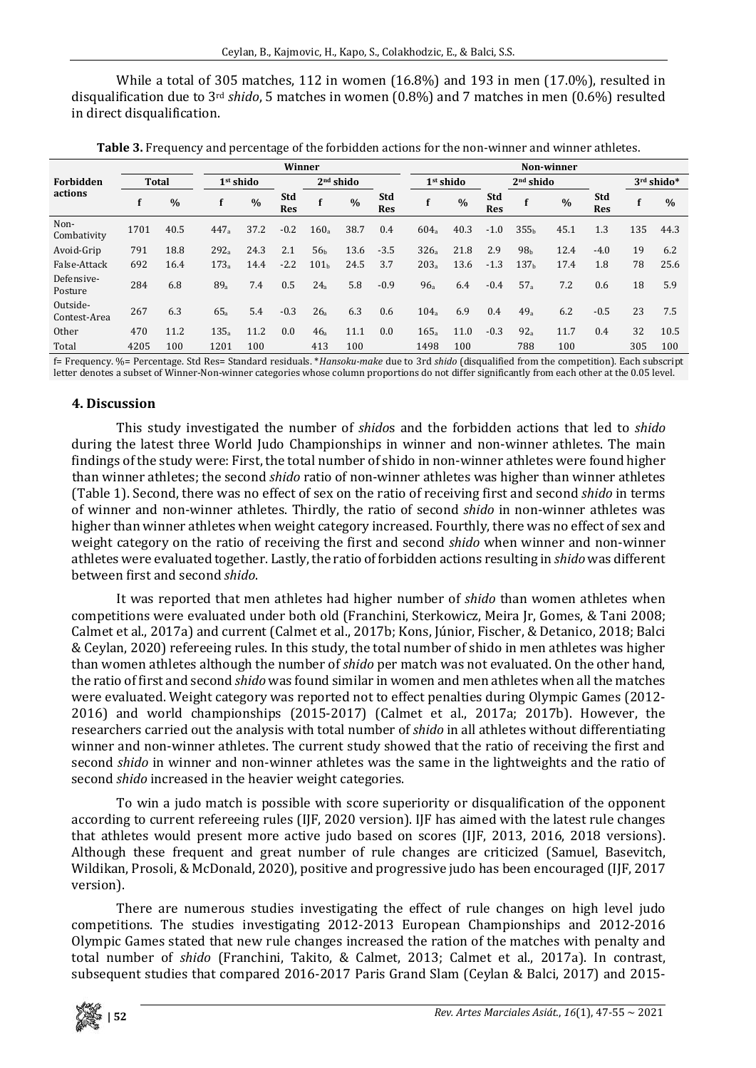While a total of 305 matches, 112 in women (16.8%) and 193 in men (17.0%), resulted in disqualification due to 3rd *shido*, 5 matches in women (0.8%) and 7 matches in men (0.6%) resulted in direct disqualification.

|                          |              | Winner |                       |      |                   |                  |               |                   |                       | Non-winner    |                   |                       |      |                   |            |      |  |
|--------------------------|--------------|--------|-----------------------|------|-------------------|------------------|---------------|-------------------|-----------------------|---------------|-------------------|-----------------------|------|-------------------|------------|------|--|
| Forbidden<br>actions     | <b>Total</b> |        | 1 <sup>st</sup> shido |      |                   | $2nd$ shido      |               |                   | 1 <sup>st</sup> shido |               |                   | 2 <sup>nd</sup> shido |      |                   | 3rd shido* |      |  |
|                          | f            | $\%$   |                       | $\%$ | Std<br><b>Res</b> |                  | $\frac{0}{0}$ | Std<br><b>Res</b> |                       | $\frac{0}{0}$ | Std<br><b>Res</b> |                       | $\%$ | Std<br><b>Res</b> |            | $\%$ |  |
| Non-<br>Combativity      | 1701         | 40.5   | 447a                  | 37.2 | $-0.2$            | 160a             | 38.7          | 0.4               | 604a                  | 40.3          | $-1.0$            | 355 <sub>b</sub>      | 45.1 | 1.3               | 135        | 44.3 |  |
| Avoid-Grip               | 791          | 18.8   | 292a                  | 24.3 | 2.1               | 56 <sub>b</sub>  | 13.6          | $-3.5$            | 326a                  | 21.8          | 2.9               | 98 <sub>h</sub>       | 12.4 | $-4.0$            | 19         | 6.2  |  |
| False-Attack             | 692          | 16.4   | 173a                  | 14.4 | $-2.2$            | 101 <sub>b</sub> | 24.5          | 3.7               | 203a                  | 13.6          | $-1.3$            | 137 <sub>h</sub>      | 17.4 | 1.8               | 78         | 25.6 |  |
| Defensive-<br>Posture    | 284          | 6.8    | 89 <sub>a</sub>       | 7.4  | 0.5               | 24a              | 5.8           | $-0.9$            | 96a                   | 6.4           | $-0.4$            | 57a                   | 7.2  | 0.6               | 18         | 5.9  |  |
| Outside-<br>Contest-Area | 267          | 6.3    | 65a                   | 5.4  | $-0.3$            | 26 <sub>a</sub>  | 6.3           | 0.6               | 104 <sub>a</sub>      | 6.9           | 0.4               | 49 <sub>a</sub>       | 6.2  | $-0.5$            | 23         | 7.5  |  |
| Other                    | 470          | 11.2   | 135a                  | 11.2 | 0.0               | 46a              | 11.1          | 0.0               | 165a                  | 11.0          | $-0.3$            | 92a                   | 11.7 | 0.4               | 32         | 10.5 |  |
| Total                    | 4205         | 100    | 1201                  | 100  |                   | 413              | 100           |                   | 1498                  | 100           |                   | 788                   | 100  |                   | 305        | 100  |  |

**Table 3.** Frequency and percentage of the forbidden actions for the non-winner and winner athletes.

f= Frequency. %= Percentage. Std Res= Standard residuals. \**Hansoku-make* due to 3rd *shido* (disqualified from the competition). Each subscript letter denotes a subset of Winner-Non-winner categories whose column proportions do not differ significantly from each other at the 0.05 level.

### **4. Discussion**

This study investigated the number of *shido*s and the forbidden actions that led to *shido* during the latest three World Judo Championships in winner and non-winner athletes. The main findings of the study were: First, the total number of shido in non-winner athletes were found higher than winner athletes; the second *shido* ratio of non-winner athletes was higher than winner athletes (Table 1). Second, there was no effect of sex on the ratio of receiving first and second *shido* in terms of winner and non-winner athletes. Thirdly, the ratio of second *shido* in non-winner athletes was higher than winner athletes when weight category increased. Fourthly, there was no effect of sex and weight category on the ratio of receiving the first and second *shido* when winner and non-winner athletes were evaluated together. Lastly, the ratio of forbidden actions resulting in *shido* was different between first and second *shido*.

It was reported that men athletes had higher number of *shido* than women athletes when competitions were evaluated under both old (Franchini, Sterkowicz, Meira Jr, Gomes, & Tani 2008; Calmet et al., 2017a) and current (Calmet et al., 2017b; Kons, Júnior, Fischer, & Detanico, 2018; Balci & Ceylan, 2020) refereeing rules. In this study, the total number of shido in men athletes was higher than women athletes although the number of *shido* per match was not evaluated. On the other hand, the ratio of first and second *shido* was found similar in women and men athletes when all the matches were evaluated. Weight category was reported not to effect penalties during Olympic Games (2012- 2016) and world championships (2015-2017) (Calmet et al., 2017a; 2017b). However, the researchers carried out the analysis with total number of *shido* in all athletes without differentiating winner and non-winner athletes. The current study showed that the ratio of receiving the first and second *shido* in winner and non-winner athletes was the same in the lightweights and the ratio of second *shido* increased in the heavier weight categories.

To win a judo match is possible with score superiority or disqualification of the opponent according to current refereeing rules (IJF, 2020 version). IJF has aimed with the latest rule changes that athletes would present more active judo based on scores (IJF, 2013, 2016, 2018 versions). Although these frequent and great number of rule changes are criticized (Samuel, Basevitch, Wildikan, Prosoli, & McDonald, 2020), positive and progressive judo has been encouraged (IJF, 2017 version).

There are numerous studies investigating the effect of rule changes on high level judo competitions. The studies investigating 2012-2013 European Championships and 2012-2016 Olympic Games stated that new rule changes increased the ration of the matches with penalty and total number of *shido* (Franchini, Takito, & Calmet, 2013; Calmet et al., 2017a). In contrast, subsequent studies that compared 2016-2017 Paris Grand Slam (Ceylan & Balci, 2017) and 2015-

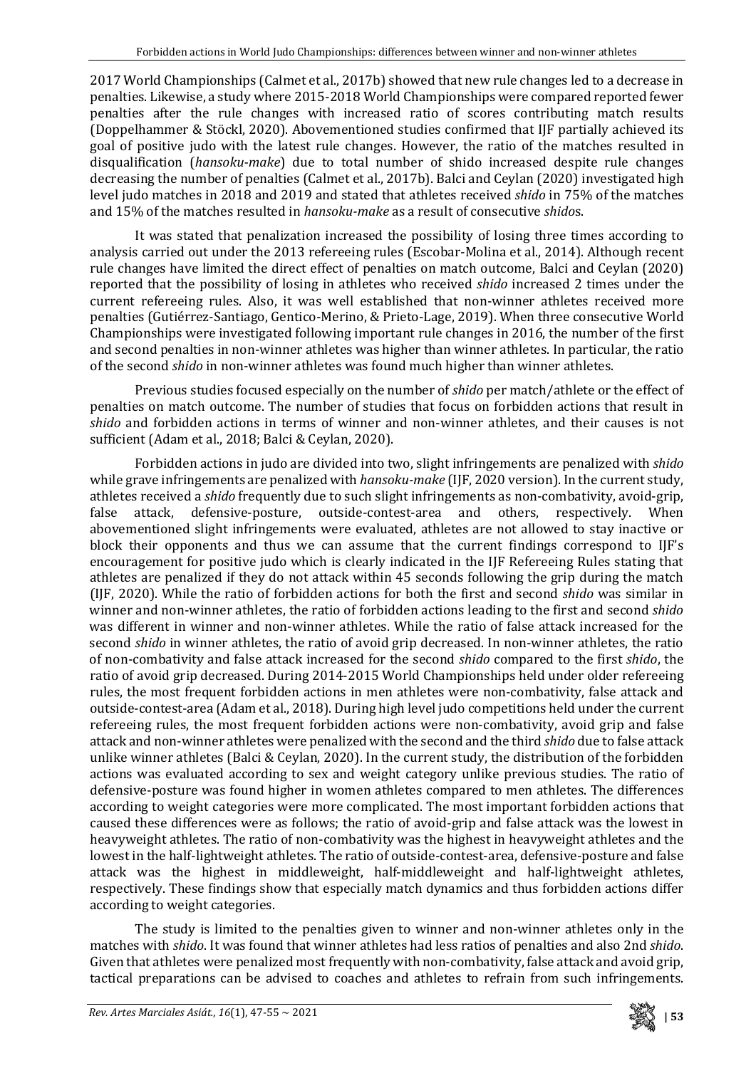2017 World Championships (Calmet et al., 2017b) showed that new rule changes led to a decrease in penalties. Likewise, a study where 2015-2018 World Championships were compared reported fewer penalties after the rule changes with increased ratio of scores contributing match results (Doppelhammer & Stöckl, 2020). Abovementioned studies confirmed that IJF partially achieved its goal of positive judo with the latest rule changes. However, the ratio of the matches resulted in disqualification (*hansoku-make*) due to total number of shido increased despite rule changes decreasing the number of penalties (Calmet et al., 2017b). Balci and Ceylan (2020) investigated high level judo matches in 2018 and 2019 and stated that athletes received *shido* in 75% of the matches and 15% of the matches resulted in *hansoku-make* as a result of consecutive *shido*s.

It was stated that penalization increased the possibility of losing three times according to analysis carried out under the 2013 refereeing rules (Escobar-Molina et al., 2014). Although recent rule changes have limited the direct effect of penalties on match outcome, Balci and Ceylan (2020) reported that the possibility of losing in athletes who received *shido* increased 2 times under the current refereeing rules. Also, it was well established that non-winner athletes received more penalties (Gutiérrez-Santiago, Gentico-Merino, & Prieto-Lage, 2019). When three consecutive World Championships were investigated following important rule changes in 2016, the number of the first and second penalties in non-winner athletes was higher than winner athletes. In particular, the ratio of the second *shido* in non-winner athletes was found much higher than winner athletes.

Previous studies focused especially on the number of *shido* per match/athlete or the effect of penalties on match outcome. The number of studies that focus on forbidden actions that result in *shido* and forbidden actions in terms of winner and non-winner athletes, and their causes is not sufficient (Adam et al., 2018; Balci & Ceylan, 2020).

Forbidden actions in judo are divided into two, slight infringements are penalized with *shido* while grave infringements are penalized with *hansoku-make* (IJF, 2020 version). In the current study, athletes received a *shido* frequently due to such slight infringements as non-combativity, avoid-grip, outside-contest-area and others, abovementioned slight infringements were evaluated, athletes are not allowed to stay inactive or block their opponents and thus we can assume that the current findings correspond to IJF's encouragement for positive judo which is clearly indicated in the IJF Refereeing Rules stating that athletes are penalized if they do not attack within 45 seconds following the grip during the match (IJF, 2020). While the ratio of forbidden actions for both the first and second *shido* was similar in winner and non-winner athletes, the ratio of forbidden actions leading to the first and second *shido* was different in winner and non-winner athletes. While the ratio of false attack increased for the second *shido* in winner athletes, the ratio of avoid grip decreased. In non-winner athletes, the ratio of non-combativity and false attack increased for the second *shido* compared to the first *shido*, the ratio of avoid grip decreased. During 2014-2015 World Championships held under older refereeing rules, the most frequent forbidden actions in men athletes were non-combativity, false attack and outside-contest-area (Adam et al., 2018). During high level judo competitions held under the current refereeing rules, the most frequent forbidden actions were non-combativity, avoid grip and false attack and non-winner athletes were penalized with the second and the third *shido* due to false attack unlike winner athletes (Balci & Ceylan, 2020). In the current study, the distribution of the forbidden actions was evaluated according to sex and weight category unlike previous studies. The ratio of defensive-posture was found higher in women athletes compared to men athletes. The differences according to weight categories were more complicated. The most important forbidden actions that caused these differences were as follows; the ratio of avoid-grip and false attack was the lowest in heavyweight athletes. The ratio of non-combativity was the highest in heavyweight athletes and the lowest in the half-lightweight athletes. The ratio of outside-contest-area, defensive-posture and false attack was the highest in middleweight, half-middleweight and half-lightweight athletes, respectively. These findings show that especially match dynamics and thus forbidden actions differ according to weight categories.

The study is limited to the penalties given to winner and non-winner athletes only in the matches with *shido*. It was found that winner athletes had less ratios of penalties and also 2nd *shido*. Given that athletes were penalized most frequently with non-combativity, false attack and avoid grip, tactical preparations can be advised to coaches and athletes to refrain from such infringements.

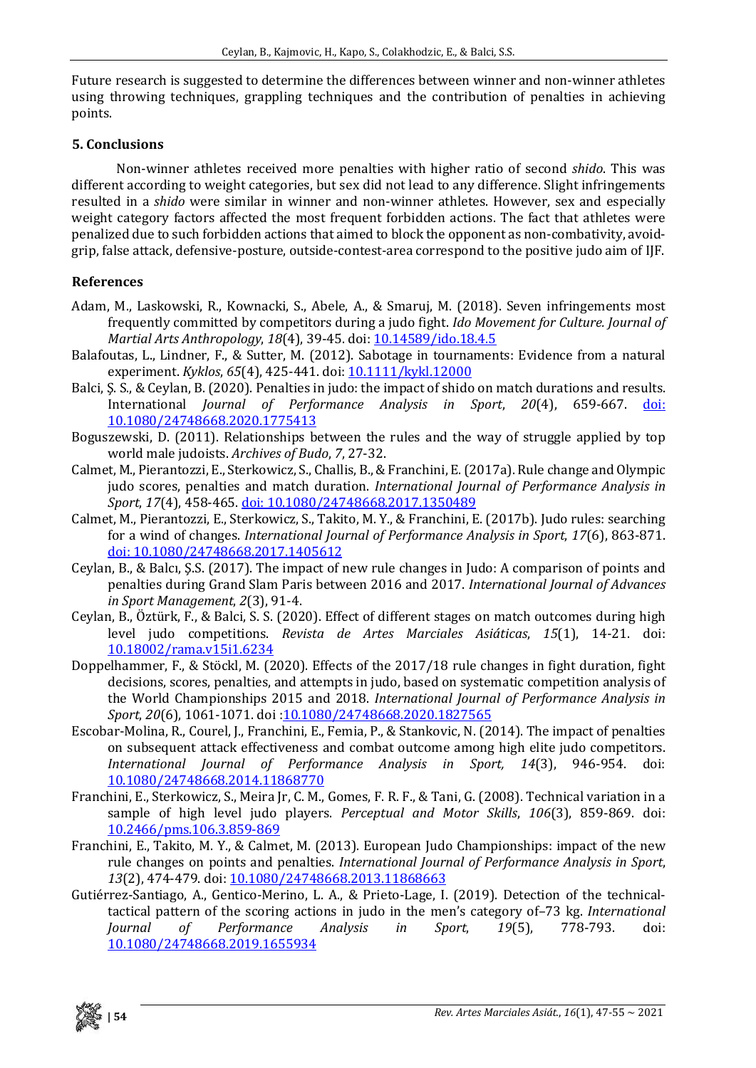Future research is suggested to determine the differences between winner and non-winner athletes using throwing techniques, grappling techniques and the contribution of penalties in achieving points.

### **5. Conclusions**

Non-winner athletes received more penalties with higher ratio of second *shido*. This was different according to weight categories, but sex did not lead to any difference. Slight infringements resulted in a *shido* were similar in winner and non-winner athletes. However, sex and especially weight category factors affected the most frequent forbidden actions. The fact that athletes were penalized due to such forbidden actions that aimed to block the opponent as non-combativity, avoidgrip, false attack, defensive-posture, outside-contest-area correspond to the positive judo aim of IJF.

## **References**

- Adam, M., Laskowski, R., Kownacki, S., Abele, A., & Smaruj, M. (2018). Seven infringements most frequently committed by competitors during a judo fight. *Ido Movement for Culture. Journal of Martial Arts Anthropology*, *18*(4), 39-45. doi[: 10.14589/ido.18.4.5](http://dx.doi.org/10.14589/ido.18.4.5)
- Balafoutas, L., Lindner, F., & Sutter, M. (2012). Sabotage in tournaments: Evidence from a natural experiment. *Kyklos*, *65*(4), 425-441. doi: [10.1111/kykl.12000](https://doi.org/10.1111/kykl.12000)
- Balci, S. S., & Ceylan, B. (2020). Penalties in judo: the impact of shido on match durations and results.<br>International *Journal of Performance Analysis in Sport*, 20(4), 659-667. doi: International *Journal of Performance Analysis in Sport*, 20(4), 659-667. [10.1080/24748668.2020.1775413](https://doi.org/10.1080/24748668.2020.1775413)
- Boguszewski, D. (2011). Relationships between the rules and the way of struggle applied by top world male judoists. *Archives of Budo*, *7*, 27-32.
- Calmet, M., Pierantozzi, E., Sterkowicz, S., Challis, B.,&Franchini, E.(2017a). Rule change and Olympic judo scores, penalties and match duration. *International Journal of Performance Analysis in Sport*, *17*(4), 458-465. doi: [10.1080/24748668.2017.1350489](https://doi.org/10.1080/24748668.2017.1350489)
- Calmet, M., Pierantozzi, E., Sterkowicz, S., Takito, M. Y., & Franchini, E. (2017b). Judo rules: searching for a wind of changes. *International Journal of Performance Analysis in Sport*, *17*(6), 863-871. doi: [10.1080/24748668.2017.1405612](https://doi.org/10.1080/24748668.2017.1405612)
- Ceylan, B., & Balcı, Ş.S. (2017). The impact of new rule changes in Judo: A comparison of points and penalties during Grand Slam Paris between 2016 and 2017. *International Journal of Advances in Sport Management*, *2*(3), 91-4.
- Ceylan, B., Öztürk, F., & Balci, S. S. (2020). Effect of different stages on match outcomes during high level judo competitions. *Revista de Artes Marciales Asiáticas*, *15*(1), 14-21. doi: [10.18002/rama.v15i1.6234](http://dx.doi.org/10.18002/rama.v15i1.6234)
- Doppelhammer, F., & Stöckl, M. (2020). Effects of the 2017/18 rule changes in fight duration, fight decisions, scores, penalties, and attempts in judo, based on systematic competition analysis of the World Championships 2015 and 2018. *International Journal of Performance Analysis in Sport*, *20*(6), 1061-1071. doi [:10.1080/24748668.2020.1827565](https://doi.org/10.1080/24748668.2020.1827565)
- Escobar-Molina, R., Courel, J., Franchini, E., Femia, P., & Stankovic, N. (2014). The impact of penalties on subsequent attack effectiveness and combat outcome among high elite judo competitors. *International Journal of Performance Analysis in Sport, 14*(3), 946-954. doi: [10.1080/24748668.2014.11868770](https://doi.org/10.1080/24748668.2014.11868770)
- Franchini, E., Sterkowicz, S., Meira Jr, C. M., Gomes, F. R. F., & Tani, G. (2008). Technical variation in a sample of high level judo players. *Perceptual and Motor Skills*, *106*(3), 859-869. doi: [10.2466/pms.106.3.859-869](https://doi.org/10.2466/pms.106.3.859-869)
- Franchini, E., Takito, M. Y., & Calmet, M. (2013). European Judo Championships: impact of the new rule changes on points and penalties. *International Journal of Performance Analysis in Sport*, *13*(2), 474-479. doi: [10.1080/24748668.2013.11868663](https://doi.org/10.1080/24748668.2013.11868663)
- Gutiérrez-Santiago, A., Gentico-Merino, L. A., & Prieto-Lage, I. (2019). Detection of the technicaltactical pattern of the scoring actions in judo in the men's category of–73 kg. *International*  $Performance$ [10.1080/24748668.2019.1655934](https://doi.org/10.1080/24748668.2019.1655934)